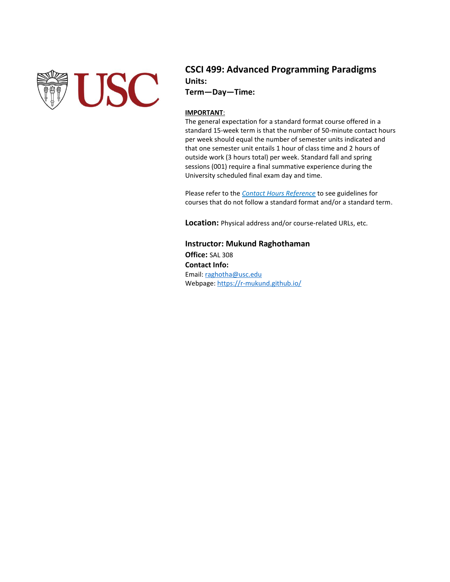

### **CSCI 499: Advanced Programming Paradigms Units:**

**Term—Day—Time:** 

#### **IMPORTANT**:

The general expectation for a standard format course offered in a standard 15-week term is that the number of 50-minute contact hours per week should equal the number of semester units indicated and that one semester unit entails 1 hour of class time and 2 hours of outside work (3 hours total) per week. Standard fall and spring sessions (001) require a final summative experience during the University scheduled final exam day and time.

Please refer to the *[Contact Hours Reference](http://arr.usc.edu/forms/ContactHoursReference.pdf)* to see guidelines for courses that do not follow a standard format and/or a standard term.

**Location:** Physical address and/or course-related URLs, etc.

**Instructor: Mukund Raghothaman Office:** SAL 308 **Contact Info:** Email: [raghotha@usc.edu](mailto:raghotha@usc.edu) Webpage:<https://r-mukund.github.io/>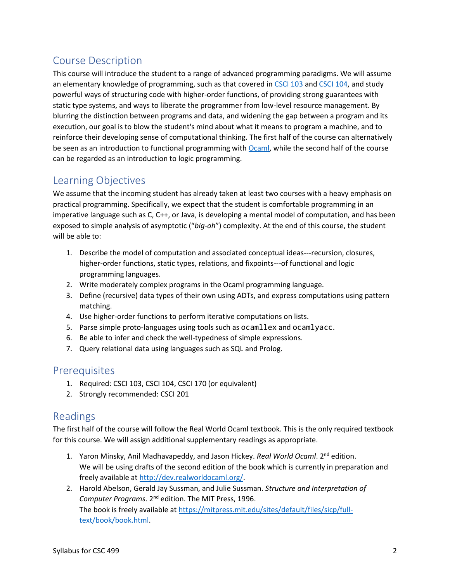# Course Description

This course will introduce the student to a range of advanced programming paradigms. We will assume an elementary knowledge of programming, such as that covered i[n CSCI 103](https://bytes.usc.edu/cs103/coursework/) and [CSCI 104,](http://bytes.usc.edu/cs104) and study powerful ways of structuring code with higher-order functions, of providing strong guarantees with static type systems, and ways to liberate the programmer from low-level resource management. By blurring the distinction between programs and data, and widening the gap between a program and its execution, our goal is to blow the student's mind about what it means to program a machine, and to reinforce their developing sense of computational thinking. The first half of the course can alternatively be seen as an introduction to functional programming with [Ocaml,](https://ocaml.org/) while the second half of the course can be regarded as an introduction to logic programming.

### Learning Objectives

We assume that the incoming student has already taken at least two courses with a heavy emphasis on practical programming. Specifically, we expect that the student is comfortable programming in an imperative language such as C, C++, or Java, is developing a mental model of computation, and has been exposed to simple analysis of asymptotic ("*big-oh*") complexity. At the end of this course, the student will be able to:

- 1. Describe the model of computation and associated conceptual ideas---recursion, closures, higher-order functions, static types, relations, and fixpoints---of functional and logic programming languages.
- 2. Write moderately complex programs in the Ocaml programming language.
- 3. Define (recursive) data types of their own using ADTs, and express computations using pattern matching.
- 4. Use higher-order functions to perform iterative computations on lists.
- 5. Parse simple proto-languages using tools such as ocamllex and ocamlyacc.
- 6. Be able to infer and check the well-typedness of simple expressions.
- 7. Query relational data using languages such as SQL and Prolog.

### **Prerequisites**

- 1. Required: CSCI 103, CSCI 104, CSCI 170 (or equivalent)
- 2. Strongly recommended: CSCI 201

### Readings

The first half of the course will follow the Real World Ocaml textbook. This is the only required textbook for this course. We will assign additional supplementary readings as appropriate.

- 1. Yaron Minsky, Anil Madhavapeddy, and Jason Hickey. *Real World Ocaml*. 2nd edition. We will be using drafts of the second edition of the book which is currently in preparation and freely available a[t http://dev.realworldocaml.org/.](http://dev.realworldocaml.org/)
- 2. Harold Abelson, Gerald Jay Sussman, and Julie Sussman. *Structure and Interpretation of Computer Programs*. 2nd edition. The MIT Press, 1996. The book is freely available at [https://mitpress.mit.edu/sites/default/files/sicp/full](https://mitpress.mit.edu/sites/default/files/sicp/full-text/book/book.html)[text/book/book.html.](https://mitpress.mit.edu/sites/default/files/sicp/full-text/book/book.html)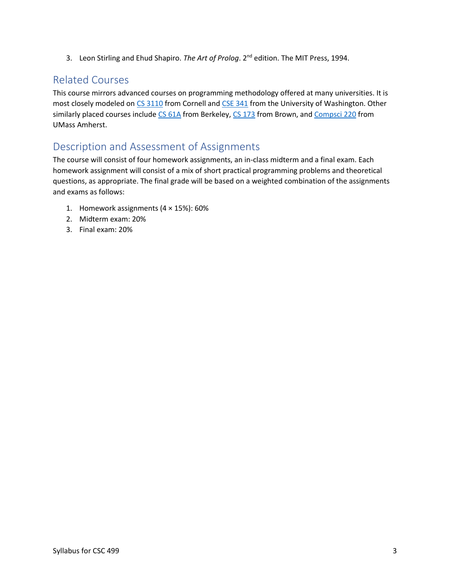3. Leon Stirling and Ehud Shapiro. *The Art of Prolog*. 2nd edition. The MIT Press, 1994.

# Related Courses

This course mirrors advanced courses on programming methodology offered at many universities. It is most closely modeled on [CS 3110](https://www.cs.cornell.edu/courses/cs3110/2020sp/) from Cornell and [CSE 341](https://courses.cs.washington.edu/courses/cse341/20sp/) from the University of Washington. Other similarly placed courses include [CS 61A](https://cs61a.org/) from Berkeley, [CS 173](https://cs.brown.edu/courses/cs173/2015/) from Brown, an[d Compsci 220](https://umass-compsci220.github.io/2019F/) from UMass Amherst.

## Description and Assessment of Assignments

The course will consist of four homework assignments, an in-class midterm and a final exam. Each homework assignment will consist of a mix of short practical programming problems and theoretical questions, as appropriate. The final grade will be based on a weighted combination of the assignments and exams as follows:

- 1. Homework assignments  $(4 \times 15\%)$ : 60%
- 2. Midterm exam: 20%
- 3. Final exam: 20%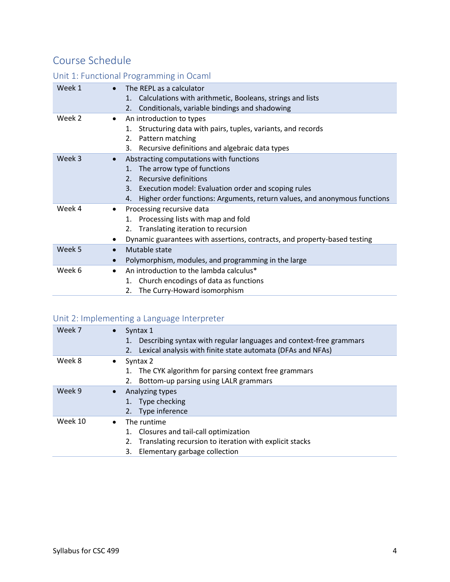# Course Schedule

### Unit 1: Functional Programming in Ocaml

| Week 1 | The REPL as a calculator<br>$\bullet$<br>Calculations with arithmetic, Booleans, strings and lists<br>1.<br>Conditionals, variable bindings and shadowing<br>2.                                                                                                                      |
|--------|--------------------------------------------------------------------------------------------------------------------------------------------------------------------------------------------------------------------------------------------------------------------------------------|
| Week 2 | An introduction to types<br>$\bullet$<br>Structuring data with pairs, tuples, variants, and records<br>1.<br>Pattern matching<br>2.<br>Recursive definitions and algebraic data types<br>3.                                                                                          |
| Week 3 | Abstracting computations with functions<br>$\bullet$<br>The arrow type of functions<br>1.<br>Recursive definitions<br>2 <sub>1</sub><br>Execution model: Evaluation order and scoping rules<br>3.<br>Higher order functions: Arguments, return values, and anonymous functions<br>4. |
| Week 4 | Processing recursive data<br>$\bullet$<br>1. Processing lists with map and fold<br>2. Translating iteration to recursion<br>Dynamic guarantees with assertions, contracts, and property-based testing<br>$\bullet$                                                                   |
| Week 5 | Mutable state<br>$\bullet$<br>Polymorphism, modules, and programming in the large<br>$\bullet$                                                                                                                                                                                       |
| Week 6 | An introduction to the lambda calculus*<br>$\bullet$<br>Church encodings of data as functions<br>1.<br>The Curry-Howard isomorphism<br>2.                                                                                                                                            |

### Unit 2: Implementing a Language Interpreter

| Week 7  | Syntax 1<br>$\bullet$<br>Describing syntax with regular languages and context-free grammars<br>1.<br>Lexical analysis with finite state automata (DFAs and NFAs)<br>2.        |
|---------|-------------------------------------------------------------------------------------------------------------------------------------------------------------------------------|
| Week 8  | Syntax 2<br>٠<br>The CYK algorithm for parsing context free grammars<br>1.<br>Bottom-up parsing using LALR grammars                                                           |
| Week 9  | Analyzing types<br>$\bullet$<br>Type checking<br>Type inference<br>2.                                                                                                         |
| Week 10 | The runtime<br>$\bullet$<br>Closures and tail-call optimization<br>1.<br>Translating recursion to iteration with explicit stacks<br>2.<br>Elementary garbage collection<br>3. |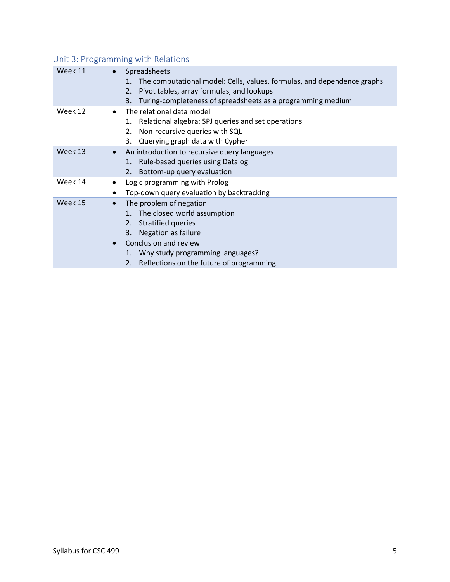| Week 11 | Spreadsheets<br>The computational model: Cells, values, formulas, and dependence graphs<br>1.<br>Pivot tables, array formulas, and lookups<br>2.<br>Turing-completeness of spreadsheets as a programming medium<br>3.                                           |
|---------|-----------------------------------------------------------------------------------------------------------------------------------------------------------------------------------------------------------------------------------------------------------------|
| Week 12 | The relational data model<br>$\bullet$<br>Relational algebra: SPJ queries and set operations<br>1.<br>Non-recursive queries with SQL<br>2.<br>Querying graph data with Cypher<br>3.                                                                             |
| Week 13 | An introduction to recursive query languages<br>$\bullet$<br>1. Rule-based queries using Datalog<br>2. Bottom-up query evaluation                                                                                                                               |
| Week 14 | Logic programming with Prolog<br>٠<br>Top-down query evaluation by backtracking<br>٠                                                                                                                                                                            |
| Week 15 | The problem of negation<br>$\bullet$<br>1. The closed world assumption<br>2.7<br>Stratified queries<br>Negation as failure<br>3.<br>Conclusion and review<br>$\bullet$<br>1. Why study programming languages?<br>Reflections on the future of programming<br>2. |

### Unit 3: Programming with Relations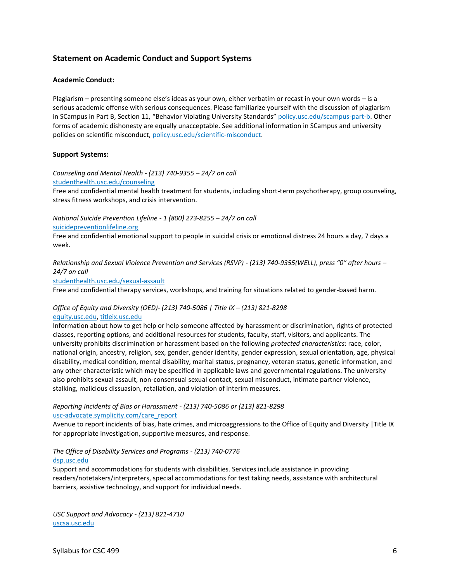#### **Statement on Academic Conduct and Support Systems**

#### **Academic Conduct:**

Plagiarism – presenting someone else's ideas as your own, either verbatim or recast in your own words – is a serious academic offense with serious consequences. Please familiarize yourself with the discussion of plagiarism in SCampus in Part B, Section 11, "Behavior Violating University Standards" [policy.usc.edu/scampus-part-b.](https://policy.usc.edu/scampus-part-b/) Other forms of academic dishonesty are equally unacceptable. See additional information in SCampus and university policies on scientific misconduct[, policy.usc.edu/scientific-misconduct.](http://policy.usc.edu/scientific-misconduct)

#### **Support Systems:**

#### *Counseling and Mental Health - (213) 740-9355 – 24/7 on call*

[studenthealth.usc.edu/counseling](https://studenthealth.usc.edu/counseling/)

Free and confidential mental health treatment for students, including short-term psychotherapy, group counseling, [str](https://engemannshc.usc.edu/counseling/)ess fitness workshops, and crisis intervention.

*National Suicide Prevention Lifeline - 1 (800) 273-8255 – 24/7 on call*

[suicidepreventionlifeline.org](http://www.suicidepreventionlifeline.org/)

Free and confidential emotional support to people in suicidal crisis or emotional distress 24 hours a day, 7 days a [we](http://www.suicidepreventionlifeline.org/)ek.

*Relationship and Sexual Violence Prevention and Services (RSVP) - (213) 740-9355(WELL), press "0" after hours – 24/7 on call*

[studenthealth.usc.edu/sexual-assault](https://studenthealth.usc.edu/sexual-assault/)

Free and confidential therapy services, workshops, and training for situations related to gender-based harm[.](https://engemannshc.usc.edu/rsvp/)

#### *Office of Equity and Diversity (OED)- (213) 740-5086 | Title IX – (213) 821-8298* [equity.usc.edu,](https://equity.usc.edu/) [titleix.usc.edu](http://titleix.usc.edu/)

Information about how to get help or help someone affected by harassment or discrimination, rights of protected classes, reporting options, and additional resources for students, faculty, staff, visitors, and applicants. The university prohibits discrimination or harassment based on the following *protected characteristics*: race, color, national origin, ancestry, religion, sex, gender, gender identity, gender expression, sexual orientation, age, physical disability, medical condition, mental disability, marital status, pregnancy, veteran status, genetic information, and any other characteristic which may be specified in applicable laws and governmental regulations. The university also prohibits sexual assault, non-consensual sexual contact, sexual misconduct, intimate partner violence, stalking, malicious dissuasion, retaliation, and violation of interim measures.

#### *Reporting Incidents of Bias or Harassment - (213) 740-5086 or (213) 821-8298* [usc-advocate.symplicity.com/care\\_report](https://usc-advocate.symplicity.com/care_report/)

Avenue to report incidents of bias, hate crimes, and microaggressions to the Office of Equity and Diversity |Title IX for appropriate investigation, supportive measures, and response[.](https://studentaffairs.usc.edu/bias-assessment-response-support/)

#### *The Office of Disability Services and Programs - (213) 740-0776* [dsp.usc.edu](http://dsp.usc.edu/)

Support and accommodations for students with disabilities. Services include assistance in providing readers/notetakers/interpreters, special accommodations for test taking needs, assistance with architectural barriers, assistive technology, and support for individual needs.

*USC Support and Advocacy - (213) 821-4710* [uscsa.usc.edu](https://uscsa.usc.edu/)